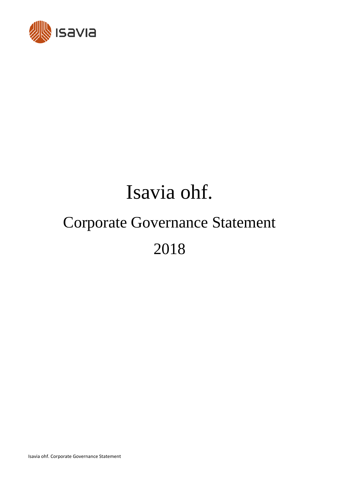

# Isavia ohf. Corporate Governance Statement 2018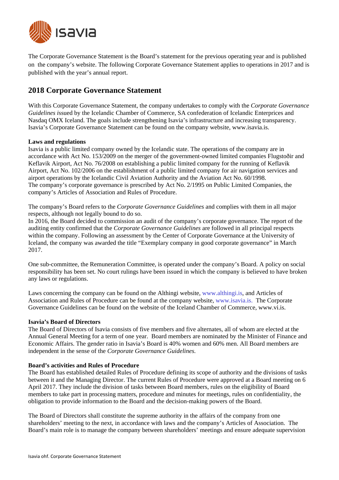

The Corporate Governance Statement is the Board's statement for the previous operating year and is published on the company's website. The following Corporate Governance Statement applies to operations in 2017 and is published with the year's annual report.

# **2018 Corporate Governance Statement**

With this Corporate Governance Statement, the company undertakes to comply with the *Corporate Governance Guidelines i*ssued by the Icelandic Chamber of Commerce, SA confederation of Icelandic Enterprices and Nasdaq OMX Iceland. The goals include strengthening Isavia's infrastructure and increasing transparency. Isavia's Corporate Governance Statement can be found on the company website, www.isavia.is.

# **Laws and regulations**

Isavia is a public limited company owned by the Icelandic state. The operations of the company are in accordance with Act No. 153/2009 on the merger of the government-owned limited companies Flugstoðir and Keflavik Airport, Act No. 76/2008 on establishing a public limited company for the running of Keflavik Airport, Act No. 102/2006 on the establishment of a public limited company for air navigation services and airport operations by the Icelandic Civil Aviation Authority and the Aviation Act No. 60/1998. The company's corporate governance is prescribed by Act No. 2/1995 on Public Limited Companies, the company's Articles of Association and Rules of Procedure.

The company's Board refers to the *Corporate Governance Guidelines* and complies with them in all major respects, although not legally bound to do so.

In 2016, the Board decided to commission an audit of the company's corporate governance. The report of the auditing entity confirmed that the *Corporate Governance Guidelines* are followed in all principal respects within the company. Following an assessment by the Center of Corporate Governance at the University of Iceland, the company was awarded the title "Exemplary company in good corporate governance" in March 2017.

One sub-committee, the Remuneration Committee, is operated under the company's Board. A policy on social responsibility has been set. No court rulings have been issued in which the company is believed to have broken any laws or regulations.

Laws concerning the company can be found on the Althingi website, www.althingi.is, and Articles of Association and Rules of Procedure can be found at the company website, www.isavia.is. The Corporate Governance Guidelines can be found on the website of the Iceland Chamber of Commerce, www.vi.is.

## **Isavia's Board of Directors**

The Board of Directors of Isavia consists of five members and five alternates, all of whom are elected at the Annual General Meeting for a term of one year. Board members are nominated by the Minister of Finance and Economic Affairs. The gender ratio in Isavia's Board is 40% women and 60% men. All Board members are independent in the sense of the *Corporate Governance Guidelines.*

## **Board's activities and Rules of Procedure**

The Board has established detailed Rules of Procedure defining its scope of authority and the divisions of tasks between it and the Managing Director. The current Rules of Procedure were approved at a Board meeting on 6 April 2017. They include the division of tasks between Board members, rules on the eligibility of Board members to take part in processing matters, procedure and minutes for meetings, rules on confidentiality, the obligation to provide information to the Board and the decision-making powers of the Board.

The Board of Directors shall constitute the supreme authority in the affairs of the company from one shareholders' meeting to the next, in accordance with laws and the company's Articles of Association. The Board's main role is to manage the company between shareholders' meetings and ensure adequate supervision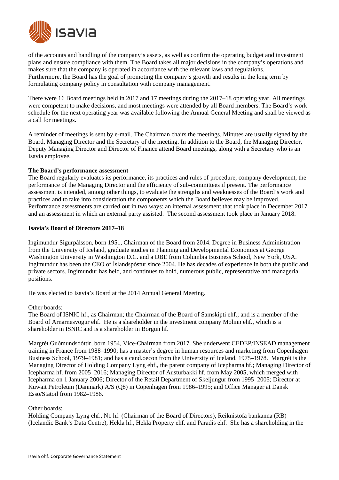

of the accounts and handling of the company's assets, as well as confirm the operating budget and investment plans and ensure compliance with them. The Board takes all major decisions in the company's operations and makes sure that the company is operated in accordance with the relevant laws and regulations. Furthermore, the Board has the goal of promoting the company's growth and results in the long term by formulating company policy in consultation with company management.

There were 16 Board meetings held in 2017 and 17 meetings during the 2017–18 operating year. All meetings were competent to make decisions, and most meetings were attended by all Board members. The Board's work schedule for the next operating year was available following the Annual General Meeting and shall be viewed as a call for meetings.

A reminder of meetings is sent by e-mail. The Chairman chairs the meetings. Minutes are usually signed by the Board, Managing Director and the Secretary of the meeting. In addition to the Board, the Managing Director, Deputy Managing Director and Director of Finance attend Board meetings, along with a Secretary who is an Isavia employee.

## **The Board's performance assessment**

The Board regularly evaluates its performance, its practices and rules of procedure, company development, the performance of the Managing Director and the efficiency of sub-committees if present. The performance assessment is intended, among other things, to evaluate the strengths and weaknesses of the Board's work and practices and to take into consideration the components which the Board believes may be improved. Performance assessments are carried out in two ways: an internal assessment that took place in December 2017 and an assessment in which an external party assisted. The second assessment took place in January 2018.

# **Isavia's Board of Directors 2017–18**

Ingimundur Sigurpálsson, born 1951, Chairman of the Board from 2014. Degree in Business Administration from the University of Iceland, graduate studies in Planning and Developmental Economics at George Washington University in Washington D.C. and a DBE from Columbia Business School, New York, USA. Ingimundur has been the CEO of Íslandspóstur since 2004. He has decades of experience in both the public and private sectors. Ingimundur has held, and continues to hold, numerous public, representative and managerial positions.

He was elected to Isavia's Board at the 2014 Annual General Meeting.

Other boards:

The Board of ISNIC hf., as Chairman; the Chairman of the Board of Samskipti ehf.; and is a member of the Board of Arnarnesvogur ehf. He is a shareholder in the investment company Molinn ehf., which is a shareholder in ISNIC and is a shareholder in Borgun hf.

Margrét Guðmundsdóttir, born 1954, Vice-Chairman from 2017. She underwent CEDEP/INSEAD management training in France from 1988–1990; has a master's degree in human resources and marketing from Copenhagen Business School, 1979–1981; and has a cand.oecon from the University of Iceland, 1975–1978. Margrét is the Managing Director of Holding Company Lyng ehf., the parent company of Icepharma hf.; Managing Director of Icepharma hf. from 2005–2016; Managing Director of Austurbakki hf. from May 2005, which merged with Icepharma on 1 January 2006; Director of the Retail Department of Skeljungur from 1995–2005; Director at Kuwait Petroleum (Danmark) A/S (Q8) in Copenhagen from 1986–1995; and Office Manager at Dansk Esso/Statoil from 1982–1986.

## Other boards:

Holding Company Lyng ehf., N1 hf. (Chairman of the Board of Directors), Reiknistofa bankanna (RB) (Icelandic Bank's Data Centre), Hekla hf., Hekla Property ehf. and Paradís ehf. She has a shareholding in the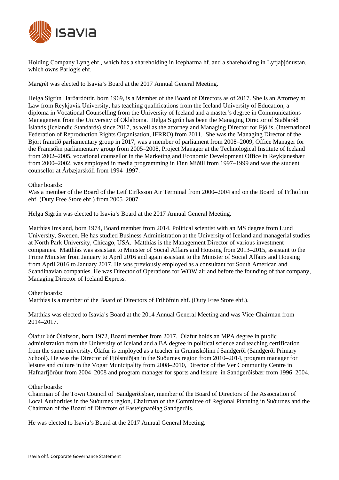

Holding Company Lyng ehf., which has a shareholding in Icepharma hf. and a shareholding in Lyfjaþjónustan, which owns Parlogis ehf.

Margrét was elected to Isavia's Board at the 2017 Annual General Meeting.

Helga Sigrún Harðardóttir, born 1969, is a Member of the Board of Directors as of 2017. She is an Attorney at Law from Reykjavík University, has teaching qualifications from the Iceland University of Education, a diploma in Vocational Counselling from the University of Iceland and a master's degree in Communications Management from the University of Oklahoma. Helga Sigrún has been the Managing Director of Staðlaráð Íslands (Icelandic Standards) since 2017, as well as the attorney and Managing Director for Fjölís, (International Federation of Reproduction Rights Organisation, IFRRO) from 2011. She was the Managing Director of the Björt framtíð parliamentary group in 2017, was a member of parliament from 2008–2009, Office Manager for the Framsókn parliamentary group from 2005–2008, Project Manager at the Technological Institute of Iceland from 2002–2005, vocational counsellor in the Marketing and Economic Development Office in Reykjanesbær from 2000–2002, was employed in media programming in Fínn Miðill from 1997–1999 and was the student counsellor at Árbæjarskóli from 1994–1997.

## Other boards:

Was a member of the Board of the Leif Eiríksson Air Terminal from 2000–2004 and on the Board of Fríhöfnin ehf. (Duty Free Store ehf.) from 2005–2007.

Helga Sigrún was elected to Isavia's Board at the 2017 Annual General Meeting.

Matthías Imsland, born 1974, Board member from 2014. Political scientist with an MS degree from Lund University, Sweden. He has studied Business Administration at the University of Iceland and managerial studies at North Park University, Chicago, USA. Matthías is the Management Director of various investment companies. Matthías was assistant to Minister of Social Affairs and Housing from 2013–2015, assistant to the Prime Minister from January to April 2016 and again assistant to the Minister of Social Affairs and Housing from April 2016 to January 2017. He was previously employed as a consultant for South American and Scandinavian companies. He was Director of Operations for WOW air and before the founding of that company, Managing Director of Iceland Express.

#### Other boards:

Matthías is a member of the Board of Directors of Fríhöfnin ehf. (Duty Free Store ehf.).

Matthías was elected to Isavia's Board at the 2014 Annual General Meeting and was Vice-Chairman from 2014–2017.

Ólafur Þór Ólafsson, born 1972, Board member from 2017. Ólafur holds an MPA degree in public administration from the University of Iceland and a BA degree in political science and teaching certification from the same university. Ólafur is employed as a teacher in Grunnskólinn í Sandgerði (Sandgerði Primary School). He was the Director of Fjölsmiðjan in the Suðurnes region from 2010–2014, program manager for leisure and culture in the Vogar Municipality from 2008–2010, Director of the Ver Community Centre in Hafnarfjörður from 2004–2008 and program manager for sports and leisure in Sandgerðisbær from 1996–2004.

#### Other boards:

Chairman of the Town Council of Sandgerðisbær, member of the Board of Directors of the Association of Local Authorities in the Suðurnes region, Chairman of the Committee of Regional Planning in Suðurnes and the Chairman of the Board of Directors of Fasteignafélag Sandgerðis.

He was elected to Isavia's Board at the 2017 Annual General Meeting.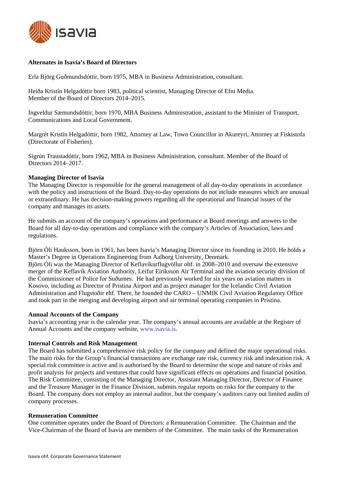

## **Alternates in Isavia's Board of Directors**

Erla Björg Guðmundsdóttir, born 1975, MBA in Business Administration, consultant.

Heiða Kristín Helgadóttir born 1983, political scientist, Managing Director of Efni Media. Member of the Board of Directors 2014–2015.

Ingveldur Sæmundsdóttir, born 1970, MBA Business Administration, assistant to the Minister of Transport, Communications and Local Government.

Margrét Kristín Helgadóttir, born 1982, Attorney at Law, Town Councillor in Akureyri, Attorney at Fiskistofa (Directorate of Fisheries).

Sigrún Traustadóttir, born 1962, MBA in Business Administration, consultant. Member of the Board of Directors 2014–2017.

## **Managing Director of Isavia**

The Managing Director is responsible for the general management of all day-to-day operations in accordance with the policy and instructions of the Board. Day-to-day operations do not include measures which are unusual or extraordinary. He has decision-making powers regarding all the operational and financial issues of the company and manages its assets.

He submits an account of the company's operations and performance at Board meetings and answers to the Board for all day-to-day operations and compliance with the company's Articles of Association, laws and regulations.

Björn Óli Hauksson, born in 1961, has been Isavia's Managing Director since its founding in 2010. He holds a Master's Degree in Operations Engineering from Aalborg University, Denmark.

Björn Óli was the Managing Director of Keflavíkurflugvöllur ohf. in 2008–2010 and oversaw the extensive merger of the Keflavík Aviation Authority, Leifur Eiríksson Air Terminal and the aviation security division of the Commissioner of Police for Suðurnes. He had previously worked for six years on aviation matters in Kosovo, including as Director of Pristina Airport and as project manager for the Icelandic Civil Aviation Administration and Flugstoðir ehf. There, he founded the CARO – UNMIK Civil Aviation Regulatory Office and took part in the merging and developing airport and air terminal operating companies in Pristina.

## **Annual Accounts of the Company**

Isavia's accounting year is the calendar year. The company's annual accounts are available at the Register of Annual Accounts and the company website, www.isavia.is.

## **Internal Controls and Risk Management**

The Board has submitted a comprehensive risk policy for the company and defined the major operational risks. The main risks for the Group's financial transactions are exchange rate risk, currency risk and indexation risk. A special risk committee is active and is authorised by the Board to determine the scope and nature of risks and profit analysis for projects and ventures that could have significant effects on operations and financial position. The Risk Committee, consisting of the Managing Director, Assistant Managing Director, Director of Finance and the Treasure Manager in the Finance Division, submits regular reports on risks for the company to the Board. The company does not employ an internal auditor, but the company's auditors carry out limited audits of company processes.

## **Remuneration Committee**

One committee operates under the Board of Directors: a Remuneration Committee. The Chairman and the Vice-Chairman of the Board of Isavia are members of the Committee. The main tasks of the Remuneration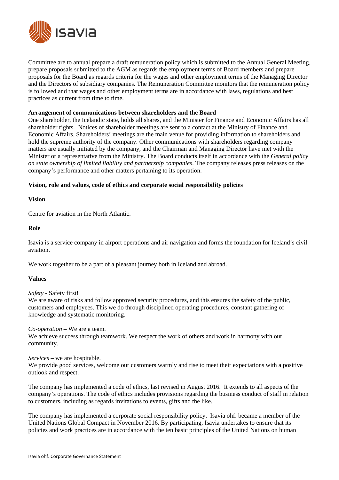

Committee are to annual prepare a draft remuneration policy which is submitted to the Annual General Meeting, prepare proposals submitted to the AGM as regards the employment terms of Board members and prepare proposals for the Board as regards criteria for the wages and other employment terms of the Managing Director and the Directors of subsidiary companies. The Remuneration Committee monitors that the remuneration policy is followed and that wages and other employment terms are in accordance with laws, regulations and best practices as current from time to time.

#### **Arrangement of communications between shareholders and the Board**

One shareholder, the Icelandic state, holds all shares, and the Minister for Finance and Economic Affairs has all shareholder rights. Notices of shareholder meetings are sent to a contact at the Ministry of Finance and Economic Affairs. Shareholders' meetings are the main venue for providing information to shareholders and hold the supreme authority of the company. Other communications with shareholders regarding company matters are usually initiated by the company, and the Chairman and Managing Director have met with the Minister or a representative from the Ministry. The Board conducts itself in accordance with the *General policy on state ownership of limited liability and partnership companies*. The company releases press releases on the company's performance and other matters pertaining to its operation.

## **Vision, role and values, code of ethics and corporate social responsibility policies**

**Vision** 

Centre for aviation in the North Atlantic.

#### **Role**

Isavia is a service company in airport operations and air navigation and forms the foundation for Iceland's civil aviation.

We work together to be a part of a pleasant journey both in Iceland and abroad.

## **Values**

*Safety -* Safety first!

We are aware of risks and follow approved security procedures, and this ensures the safety of the public, customers and employees. This we do through disciplined operating procedures, constant gathering of knowledge and systematic monitoring.

#### *Co-operation* – We are a team.

We achieve success through teamwork. We respect the work of others and work in harmony with our community.

*Services* – we are hospitable.

We provide good services, welcome our customers warmly and rise to meet their expectations with a positive outlook and respect.

The company has implemented a code of ethics, last revised in August 2016. It extends to all aspects of the company's operations. The code of ethics includes provisions regarding the business conduct of staff in relation to customers, including as regards invitations to events, gifts and the like.

The company has implemented a corporate social responsibility policy. Isavia ohf. became a member of the United Nations Global Compact in November 2016. By participating, Isavia undertakes to ensure that its policies and work practices are in accordance with the ten basic principles of the United Nations on human